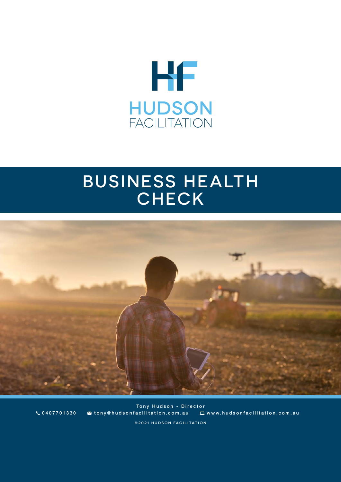

# BUSINESS HEALTH **CHECK**



©2021 HUDSON FACILITATION Tony Hudson - Director 0407701330 tony@hudsonfacilitation.com.au www.hudsonfacilitation.com.au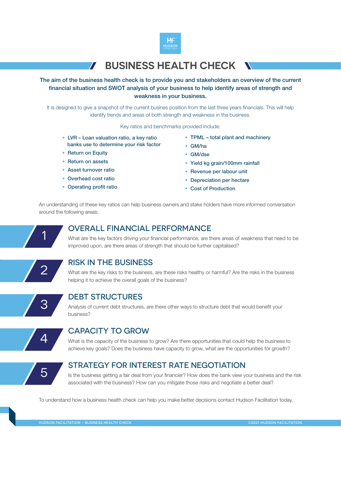

# **BUSINESS HEALTH CHECK**

The aim of the business health check is to provide you and stakeholders an overview of the current financial situation and SWOT analysis of your business to help identify areas of strength and weakness in your business.

It is designed to give a snapshot of the current busines position from the last three years financials. This will help identify trends and areas of both strength and weakness in the business.

Key ratios and benchmarks provided include:

- LVR Loan valuation ratio, a key ratio banks use to determine your risk factor
- Return on Equity
- Return on assets
- Asset turnover ratio
- Overhead cost ratio
- Operating profit ratio
- TPML total plant and machinery
- GM/ha
- GM/dse
- Yield kg grain/100mm rainfall
- Revenue per labour unit
- Depreciation per hectare
- Cost of Production

An understanding of these key ratios can help business owners and stake holders have more informed conversation around the following areas:

1

#### OVERALL FINANCIAL PERFORMANCE

What are the key factors driving your financial performance, are there areas of weakness that need to be improved upon, are there areas of strength that should be further capitalised?



3

## RISK IN THE BUSINESS

What are the key risks to the business, are these risks healthy or harmful? Are the risks in the business helping it to achieve the overall goals of the business?

## DEBT STRUCTURES

Analysis of current debt structures, are there other ways to structure debt that would benefit your business?



#### CAPACITY TO GROW

What is the capacity of the business to grow? Are there opportunities that could help the business to achieve key goals? Does the business have capacity to grow, what are the opportunities for growth?



#### STRATEGY FOR INTEREST RATE NEGOTIATION

Is the business getting a fair deal from your financier? How does the bank view your business and the risk associated with the business? How can you mitigate those risks and negotiate a better deal?

To understand how a business health check can help you make better decisions contact Hudson Facilitation today.